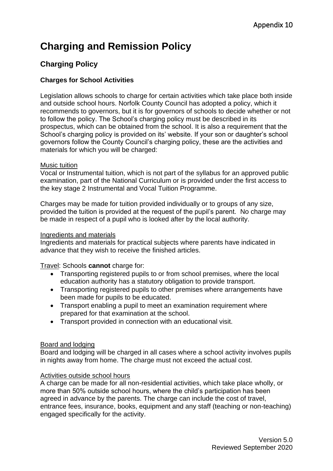# **Charging and Remission Policy**

# **Charging Policy**

## **Charges for School Activities**

Legislation allows schools to charge for certain activities which take place both inside and outside school hours. Norfolk County Council has adopted a policy, which it recommends to governors, but it is for governors of schools to decide whether or not to follow the policy. The School's charging policy must be described in its prospectus, which can be obtained from the school. It is also a requirement that the School's charging policy is provided on its' website. If your son or daughter's school governors follow the County Council's charging policy, these are the activities and materials for which you will be charged:

#### Music tuition

Vocal or Instrumental tuition, which is not part of the syllabus for an approved public examination, part of the National Curriculum or is provided under the first access to the key stage 2 Instrumental and Vocal Tuition Programme.

Charges may be made for tuition provided individually or to groups of any size, provided the tuition is provided at the request of the pupil's parent. No charge may be made in respect of a pupil who is looked after by the local authority.

#### Ingredients and materials

Ingredients and materials for practical subjects where parents have indicated in advance that they wish to receive the finished articles.

Travel: Schools **cannot** charge for:

- Transporting registered pupils to or from school premises, where the local education authority has a statutory obligation to provide transport.
- Transporting registered pupils to other premises where arrangements have been made for pupils to be educated.
- Transport enabling a pupil to meet an examination requirement where prepared for that examination at the school.
- Transport provided in connection with an educational visit.

#### Board and lodging

Board and lodging will be charged in all cases where a school activity involves pupils in nights away from home. The charge must not exceed the actual cost.

#### Activities outside school hours

A charge can be made for all non-residential activities, which take place wholly, or more than 50% outside school hours, where the child's participation has been agreed in advance by the parents. The charge can include the cost of travel, entrance fees, insurance, books, equipment and any staff (teaching or non-teaching) engaged specifically for the activity.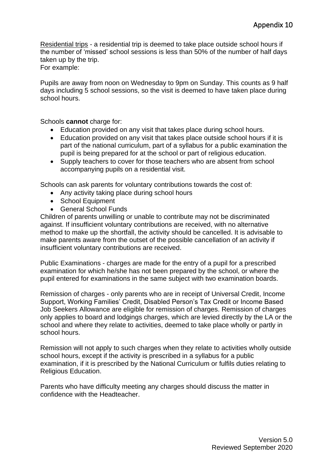Residential trips - a residential trip is deemed to take place outside school hours if the number of 'missed' school sessions is less than 50% of the number of half days taken up by the trip.

For example:

Pupils are away from noon on Wednesday to 9pm on Sunday. This counts as 9 half days including 5 school sessions, so the visit is deemed to have taken place during school hours.

Schools **cannot** charge for:

- Education provided on any visit that takes place during school hours.
- Education provided on any visit that takes place outside school hours if it is part of the national curriculum, part of a syllabus for a public examination the pupil is being prepared for at the school or part of religious education.
- Supply teachers to cover for those teachers who are absent from school accompanying pupils on a residential visit.

Schools can ask parents for voluntary contributions towards the cost of:

- Any activity taking place during school hours
- School Equipment
- General School Funds

Children of parents unwilling or unable to contribute may not be discriminated against. If insufficient voluntary contributions are received, with no alternative method to make up the shortfall, the activity should be cancelled. It is advisable to make parents aware from the outset of the possible cancellation of an activity if insufficient voluntary contributions are received.

Public Examinations - charges are made for the entry of a pupil for a prescribed examination for which he/she has not been prepared by the school, or where the pupil entered for examinations in the same subject with two examination boards.

Remission of charges - only parents who are in receipt of Universal Credit, Income Support, Working Families' Credit, Disabled Person's Tax Credit or Income Based Job Seekers Allowance are eligible for remission of charges. Remission of charges only applies to board and lodgings charges, which are levied directly by the LA or the school and where they relate to activities, deemed to take place wholly or partly in school hours.

Remission will not apply to such charges when they relate to activities wholly outside school hours, except if the activity is prescribed in a syllabus for a public examination, if it is prescribed by the National Curriculum or fulfils duties relating to Religious Education.

Parents who have difficulty meeting any charges should discuss the matter in confidence with the Headteacher.